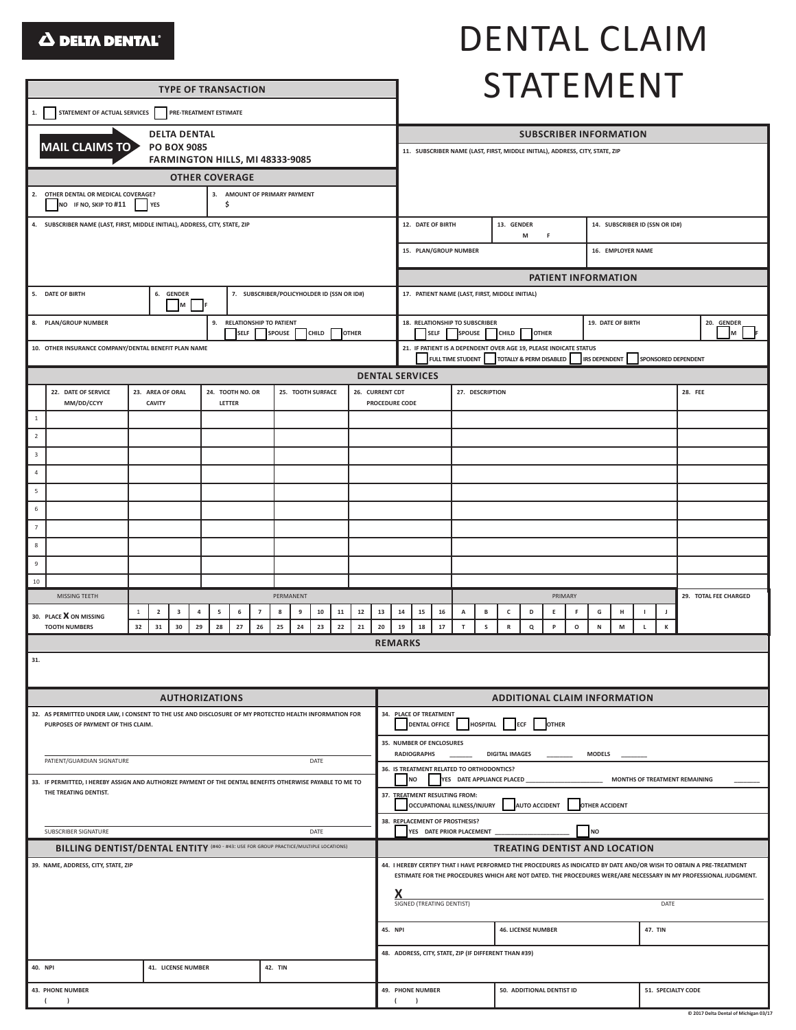### **A DELTA DENTAL**®

**TYPE OF TRANSACTION** 

# DENTAL CLAIM STATEMENT

| STATEMENT OF ACTUAL SERVICES PRE-TREATMENT ESTIMATE<br>1.                                                                                       |                                                                                                                                                                                                                                            |                  |                    |  |                            |  |                                                                  |                                                                                                                      |                                                                                                                                 |                                                                                |                                                                   |                           |                                                       |                                                                              |        |                   |                |        |  |                               |                  |  |  |  |  |  |         |  |  |  |
|-------------------------------------------------------------------------------------------------------------------------------------------------|--------------------------------------------------------------------------------------------------------------------------------------------------------------------------------------------------------------------------------------------|------------------|--------------------|--|----------------------------|--|------------------------------------------------------------------|----------------------------------------------------------------------------------------------------------------------|---------------------------------------------------------------------------------------------------------------------------------|--------------------------------------------------------------------------------|-------------------------------------------------------------------|---------------------------|-------------------------------------------------------|------------------------------------------------------------------------------|--------|-------------------|----------------|--------|--|-------------------------------|------------------|--|--|--|--|--|---------|--|--|--|
| <b>DELTA DENTAL</b>                                                                                                                             |                                                                                                                                                                                                                                            |                  |                    |  |                            |  |                                                                  |                                                                                                                      |                                                                                                                                 |                                                                                | <b>SUBSCRIBER INFORMATION</b>                                     |                           |                                                       |                                                                              |        |                   |                |        |  |                               |                  |  |  |  |  |  |         |  |  |  |
|                                                                                                                                                 | MAIL CLAIMS TO                                                                                                                                                                                                                             |                  | <b>PO BOX 9085</b> |  |                            |  |                                                                  |                                                                                                                      |                                                                                                                                 |                                                                                |                                                                   |                           |                                                       | 11. SUBSCRIBER NAME (LAST, FIRST, MIDDLE INITIAL), ADDRESS, CITY, STATE, ZIP |        |                   |                |        |  |                               |                  |  |  |  |  |  |         |  |  |  |
| FARMINGTON HILLS, MI 48333-9085<br><b>OTHER COVERAGE</b>                                                                                        |                                                                                                                                                                                                                                            |                  |                    |  |                            |  |                                                                  |                                                                                                                      |                                                                                                                                 |                                                                                |                                                                   |                           |                                                       |                                                                              |        |                   |                |        |  |                               |                  |  |  |  |  |  |         |  |  |  |
| 2. OTHER DENTAL OR MEDICAL COVERAGE?<br>3. AMOUNT OF PRIMARY PAYMENT                                                                            |                                                                                                                                                                                                                                            |                  |                    |  |                            |  |                                                                  |                                                                                                                      |                                                                                                                                 |                                                                                |                                                                   |                           |                                                       |                                                                              |        |                   |                |        |  |                               |                  |  |  |  |  |  |         |  |  |  |
| NO IF NO, SKIP TO #11<br>\$<br>YES                                                                                                              |                                                                                                                                                                                                                                            |                  |                    |  |                            |  |                                                                  | 12. DATE OF BIRTH<br>13. GENDER<br>14. SUBSCRIBER ID (SSN OR ID#)                                                    |                                                                                                                                 |                                                                                |                                                                   |                           |                                                       |                                                                              |        |                   |                |        |  |                               |                  |  |  |  |  |  |         |  |  |  |
| 4. SUBSCRIBER NAME (LAST, FIRST, MIDDLE INITIAL), ADDRESS, CITY, STATE, ZIP                                                                     |                                                                                                                                                                                                                                            |                  |                    |  |                            |  |                                                                  |                                                                                                                      |                                                                                                                                 |                                                                                | M<br>F                                                            |                           |                                                       |                                                                              |        |                   |                |        |  |                               |                  |  |  |  |  |  |         |  |  |  |
|                                                                                                                                                 |                                                                                                                                                                                                                                            |                  |                    |  |                            |  |                                                                  |                                                                                                                      |                                                                                                                                 |                                                                                | 15. PLAN/GROUP NUMBER<br>16. EMPLOYER NAME                        |                           |                                                       |                                                                              |        |                   |                |        |  |                               |                  |  |  |  |  |  |         |  |  |  |
|                                                                                                                                                 |                                                                                                                                                                                                                                            |                  |                    |  |                            |  |                                                                  |                                                                                                                      | PATIENT INFORMATION                                                                                                             |                                                                                |                                                                   |                           |                                                       |                                                                              |        |                   |                |        |  |                               |                  |  |  |  |  |  |         |  |  |  |
| 5. DATE OF BIRTH<br>6. GENDER<br>7. SUBSCRIBER/POLICYHOLDER ID (SSN OR ID#)<br>M<br>l IF                                                        |                                                                                                                                                                                                                                            |                  |                    |  |                            |  |                                                                  | 17. PATIENT NAME (LAST, FIRST, MIDDLE INITIAL)                                                                       |                                                                                                                                 |                                                                                |                                                                   |                           |                                                       |                                                                              |        |                   |                |        |  |                               |                  |  |  |  |  |  |         |  |  |  |
| 8. PLAN/GROUP NUMBER<br>9. RELATIONSHIP TO PATIENT                                                                                              |                                                                                                                                                                                                                                            |                  |                    |  |                            |  |                                                                  |                                                                                                                      | 18. RELATIONSHIP TO SUBSCRIBER<br>19. DATE OF BIRTH<br>20. GENDER<br><b>SELF</b><br><b>SPOUSE</b><br>M<br>CHILD<br><b>OTHER</b> |                                                                                |                                                                   |                           |                                                       |                                                                              |        |                   |                |        |  |                               |                  |  |  |  |  |  |         |  |  |  |
| <b>SPOUSE</b><br><b>SELF</b><br>CHILD<br><b>OTHER</b><br>10. OTHER INSURANCE COMPANY/DENTAL BENEFIT PLAN NAME                                   |                                                                                                                                                                                                                                            |                  |                    |  |                            |  |                                                                  |                                                                                                                      |                                                                                                                                 |                                                                                | 21. IF PATIENT IS A DEPENDENT OVER AGE 19, PLEASE INDICATE STATUS |                           |                                                       |                                                                              |        |                   |                |        |  |                               |                  |  |  |  |  |  |         |  |  |  |
|                                                                                                                                                 |                                                                                                                                                                                                                                            |                  |                    |  |                            |  |                                                                  |                                                                                                                      | TOTALLY & PERM DISABLED<br>FULL TIME STUDENT<br>IRS DEPENDENT SPONSORED DEPENDENT<br><b>DENTAL SERVICES</b>                     |                                                                                |                                                                   |                           |                                                       |                                                                              |        |                   |                |        |  |                               |                  |  |  |  |  |  |         |  |  |  |
|                                                                                                                                                 | 22. DATE OF SERVICE                                                                                                                                                                                                                        | 23. AREA OF ORAL |                    |  |                            |  |                                                                  |                                                                                                                      |                                                                                                                                 | 25. TOOTH SURFACE                                                              |                                                                   | 26. CURRENT CDT           |                                                       |                                                                              |        |                   |                |        |  |                               |                  |  |  |  |  |  | 28. FEE |  |  |  |
|                                                                                                                                                 | MM/DD/CCYY                                                                                                                                                                                                                                 | <b>CAVITY</b>    |                    |  | 24. TOOTH NO. OR<br>LETTER |  |                                                                  |                                                                                                                      |                                                                                                                                 | PROCEDURE CODE                                                                 |                                                                   |                           |                                                       |                                                                              |        | 27. DESCRIPTION   |                |        |  |                               |                  |  |  |  |  |  |         |  |  |  |
| $\,$ 1                                                                                                                                          |                                                                                                                                                                                                                                            |                  |                    |  |                            |  |                                                                  |                                                                                                                      |                                                                                                                                 |                                                                                |                                                                   |                           |                                                       |                                                                              |        |                   |                |        |  |                               |                  |  |  |  |  |  |         |  |  |  |
| $\overline{2}$                                                                                                                                  |                                                                                                                                                                                                                                            |                  |                    |  |                            |  |                                                                  |                                                                                                                      |                                                                                                                                 |                                                                                |                                                                   |                           |                                                       |                                                                              |        |                   |                |        |  |                               |                  |  |  |  |  |  |         |  |  |  |
| $\overline{\mathbf{3}}$                                                                                                                         |                                                                                                                                                                                                                                            |                  |                    |  |                            |  |                                                                  |                                                                                                                      |                                                                                                                                 |                                                                                |                                                                   |                           |                                                       |                                                                              |        |                   |                |        |  |                               |                  |  |  |  |  |  |         |  |  |  |
| $\overline{4}$<br>$\sqrt{5}$                                                                                                                    |                                                                                                                                                                                                                                            |                  |                    |  |                            |  |                                                                  |                                                                                                                      |                                                                                                                                 |                                                                                |                                                                   |                           |                                                       |                                                                              |        |                   |                |        |  |                               |                  |  |  |  |  |  |         |  |  |  |
| 6                                                                                                                                               |                                                                                                                                                                                                                                            |                  |                    |  |                            |  |                                                                  |                                                                                                                      |                                                                                                                                 |                                                                                |                                                                   |                           |                                                       |                                                                              |        |                   |                |        |  |                               |                  |  |  |  |  |  |         |  |  |  |
| $7\overline{ }$                                                                                                                                 |                                                                                                                                                                                                                                            |                  |                    |  |                            |  |                                                                  |                                                                                                                      |                                                                                                                                 |                                                                                |                                                                   |                           |                                                       |                                                                              |        |                   |                |        |  |                               |                  |  |  |  |  |  |         |  |  |  |
| $\,$ 8                                                                                                                                          |                                                                                                                                                                                                                                            |                  |                    |  |                            |  |                                                                  |                                                                                                                      |                                                                                                                                 |                                                                                |                                                                   |                           |                                                       |                                                                              |        |                   |                |        |  |                               |                  |  |  |  |  |  |         |  |  |  |
| $\,9$                                                                                                                                           |                                                                                                                                                                                                                                            |                  |                    |  |                            |  |                                                                  |                                                                                                                      |                                                                                                                                 |                                                                                |                                                                   |                           |                                                       |                                                                              |        |                   |                |        |  |                               |                  |  |  |  |  |  |         |  |  |  |
| 10                                                                                                                                              |                                                                                                                                                                                                                                            |                  |                    |  |                            |  |                                                                  |                                                                                                                      |                                                                                                                                 |                                                                                |                                                                   |                           |                                                       |                                                                              |        |                   |                |        |  |                               |                  |  |  |  |  |  |         |  |  |  |
| MISSING TEETH<br>PERMANENT                                                                                                                      |                                                                                                                                                                                                                                            |                  |                    |  |                            |  |                                                                  |                                                                                                                      | 29. TOTAL FEE CHARGED<br>PRIMARY                                                                                                |                                                                                |                                                                   |                           |                                                       |                                                                              |        |                   |                |        |  |                               |                  |  |  |  |  |  |         |  |  |  |
|                                                                                                                                                 | ${\bf 12}$<br>8<br>10<br>${\bf 11}$<br>$\mathbf{1}$<br>$\overline{2}$<br>3<br>5<br>6<br>$\overline{7}$<br>9<br>4<br>30. PLACE X ON MISSING<br><b>TOOTH NUMBERS</b><br>32<br>31<br>30<br>29<br>28<br>27<br>26<br>25<br>24<br>23<br>22<br>21 |                  |                    |  |                            |  | 13<br>20                                                         | 14<br>19                                                                                                             |                                                                                                                                 | 15<br>16<br>18<br>$17\,$                                                       | А<br>$\mathsf T$                                                  | $\, {\bf B}$<br>${\sf s}$ | $\mathsf{c}$<br>${\sf R}$                             | D<br>Q                                                                       | E<br>P | F<br>$\mathsf{o}$ | G<br>${\sf N}$ | н<br>M |  | $\blacksquare$<br>$\mathbf L$ | $\mathsf J$<br>К |  |  |  |  |  |         |  |  |  |
|                                                                                                                                                 | <b>REMARKS</b>                                                                                                                                                                                                                             |                  |                    |  |                            |  |                                                                  |                                                                                                                      |                                                                                                                                 |                                                                                |                                                                   |                           |                                                       |                                                                              |        |                   |                |        |  |                               |                  |  |  |  |  |  |         |  |  |  |
| 31.                                                                                                                                             |                                                                                                                                                                                                                                            |                  |                    |  |                            |  |                                                                  |                                                                                                                      |                                                                                                                                 |                                                                                |                                                                   |                           |                                                       |                                                                              |        |                   |                |        |  |                               |                  |  |  |  |  |  |         |  |  |  |
|                                                                                                                                                 |                                                                                                                                                                                                                                            |                  |                    |  |                            |  |                                                                  |                                                                                                                      |                                                                                                                                 |                                                                                |                                                                   |                           |                                                       |                                                                              |        |                   |                |        |  |                               |                  |  |  |  |  |  |         |  |  |  |
| <b>AUTHORIZATIONS</b>                                                                                                                           |                                                                                                                                                                                                                                            |                  |                    |  |                            |  |                                                                  | <b>ADDITIONAL CLAIM INFORMATION</b><br>34. PLACE OF TREATMENT                                                        |                                                                                                                                 |                                                                                |                                                                   |                           |                                                       |                                                                              |        |                   |                |        |  |                               |                  |  |  |  |  |  |         |  |  |  |
| 32. AS PERMITTED UNDER LAW, I CONSENT TO THE USE AND DISCLOSURE OF MY PROTECTED HEALTH INFORMATION FOR<br>PURPOSES OF PAYMENT OF THIS CLAIM.    |                                                                                                                                                                                                                                            |                  |                    |  |                            |  |                                                                  |                                                                                                                      | <b>DENTAL OFFICE</b><br><b>HOSPITAL</b><br><b>OTHER</b><br><b>ECF</b>                                                           |                                                                                |                                                                   |                           |                                                       |                                                                              |        |                   |                |        |  |                               |                  |  |  |  |  |  |         |  |  |  |
|                                                                                                                                                 |                                                                                                                                                                                                                                            |                  |                    |  |                            |  |                                                                  |                                                                                                                      | 35. NUMBER OF ENCLOSURES<br><b>RADIOGRAPHS</b><br><b>DIGITAL IMAGES</b><br><b>MODELS</b>                                        |                                                                                |                                                                   |                           |                                                       |                                                                              |        |                   |                |        |  |                               |                  |  |  |  |  |  |         |  |  |  |
| PATIENT/GUARDIAN SIGNATURE<br>DATE<br>33. IF PERMITTED, I HEREBY ASSIGN AND AUTHORIZE PAYMENT OF THE DENTAL BENEFITS OTHERWISE PAYABLE TO ME TO |                                                                                                                                                                                                                                            |                  |                    |  |                            |  |                                                                  |                                                                                                                      | 36. IS TREATMENT RELATED TO ORTHODONTICS?<br>YES DATE APPLIANCE PLACED<br><b>NO</b><br>MONTHS OF TREATMENT REMAINING            |                                                                                |                                                                   |                           |                                                       |                                                                              |        |                   |                |        |  |                               |                  |  |  |  |  |  |         |  |  |  |
| THE TREATING DENTIST.                                                                                                                           |                                                                                                                                                                                                                                            |                  |                    |  |                            |  |                                                                  | 37. TREATMENT RESULTING FROM:<br>OTHER ACCIDENT<br>OCCUPATIONAL ILLNESS/INJURY<br><b>AUTO ACCIDENT</b>               |                                                                                                                                 |                                                                                |                                                                   |                           |                                                       |                                                                              |        |                   |                |        |  |                               |                  |  |  |  |  |  |         |  |  |  |
| SUBSCRIBER SIGNATURE<br>DATE                                                                                                                    |                                                                                                                                                                                                                                            |                  |                    |  |                            |  | 38. REPLACEMENT OF PROSTHESIS?<br>YES DATE PRIOR PLACEMENT<br>NO |                                                                                                                      |                                                                                                                                 |                                                                                |                                                                   |                           |                                                       |                                                                              |        |                   |                |        |  |                               |                  |  |  |  |  |  |         |  |  |  |
| <b>BILLING DENTIST/DENTAL ENTITY</b> (#40 - #43: USE FOR GROUP PRACTICE/MULTIPLE LOCATIONS)                                                     |                                                                                                                                                                                                                                            |                  |                    |  |                            |  | <b>TREATING DENTIST AND LOCATION</b>                             |                                                                                                                      |                                                                                                                                 |                                                                                |                                                                   |                           |                                                       |                                                                              |        |                   |                |        |  |                               |                  |  |  |  |  |  |         |  |  |  |
| 39. NAME, ADDRESS, CITY, STATE, ZIP                                                                                                             |                                                                                                                                                                                                                                            |                  |                    |  |                            |  |                                                                  | 44. I HEREBY CERTIFY THAT I HAVE PERFORMED THE PROCEDURES AS INDICATED BY DATE AND/OR WISH TO OBTAIN A PRE-TREATMENT |                                                                                                                                 |                                                                                |                                                                   |                           |                                                       |                                                                              |        |                   |                |        |  |                               |                  |  |  |  |  |  |         |  |  |  |
|                                                                                                                                                 |                                                                                                                                                                                                                                            |                  |                    |  |                            |  |                                                                  | ESTIMATE FOR THE PROCEDURES WHICH ARE NOT DATED. THE PROCEDURES WERE/ARE NECESSARY IN MY PROFESSIONAL JUDGMENT.      |                                                                                                                                 |                                                                                |                                                                   |                           |                                                       |                                                                              |        |                   |                |        |  |                               |                  |  |  |  |  |  |         |  |  |  |
|                                                                                                                                                 |                                                                                                                                                                                                                                            |                  |                    |  |                            |  |                                                                  | х<br>SIGNED (TREATING DENTIST)<br>DATE                                                                               |                                                                                                                                 |                                                                                |                                                                   |                           |                                                       |                                                                              |        |                   |                |        |  |                               |                  |  |  |  |  |  |         |  |  |  |
|                                                                                                                                                 |                                                                                                                                                                                                                                            |                  |                    |  |                            |  |                                                                  |                                                                                                                      | 45. NPI<br><b>46. LICENSE NUMBER</b><br>47. TIN                                                                                 |                                                                                |                                                                   |                           |                                                       |                                                                              |        |                   |                |        |  |                               |                  |  |  |  |  |  |         |  |  |  |
|                                                                                                                                                 |                                                                                                                                                                                                                                            |                  |                    |  |                            |  |                                                                  |                                                                                                                      |                                                                                                                                 |                                                                                |                                                                   |                           | 48. ADDRESS, CITY, STATE, ZIP (IF DIFFERENT THAN #39) |                                                                              |        |                   |                |        |  |                               |                  |  |  |  |  |  |         |  |  |  |
| 40. NPI<br>41. LICENSE NUMBER<br>42. TIN                                                                                                        |                                                                                                                                                                                                                                            |                  |                    |  |                            |  |                                                                  |                                                                                                                      |                                                                                                                                 |                                                                                |                                                                   |                           |                                                       |                                                                              |        |                   |                |        |  |                               |                  |  |  |  |  |  |         |  |  |  |
|                                                                                                                                                 | 43. PHONE NUMBER<br>$($ )                                                                                                                                                                                                                  |                  |                    |  |                            |  |                                                                  |                                                                                                                      |                                                                                                                                 | 49. PHONE NUMBER<br>50. ADDITIONAL DENTIST ID<br>51. SPECIALTY CODE<br>$($ $)$ |                                                                   |                           |                                                       |                                                                              |        |                   |                |        |  |                               |                  |  |  |  |  |  |         |  |  |  |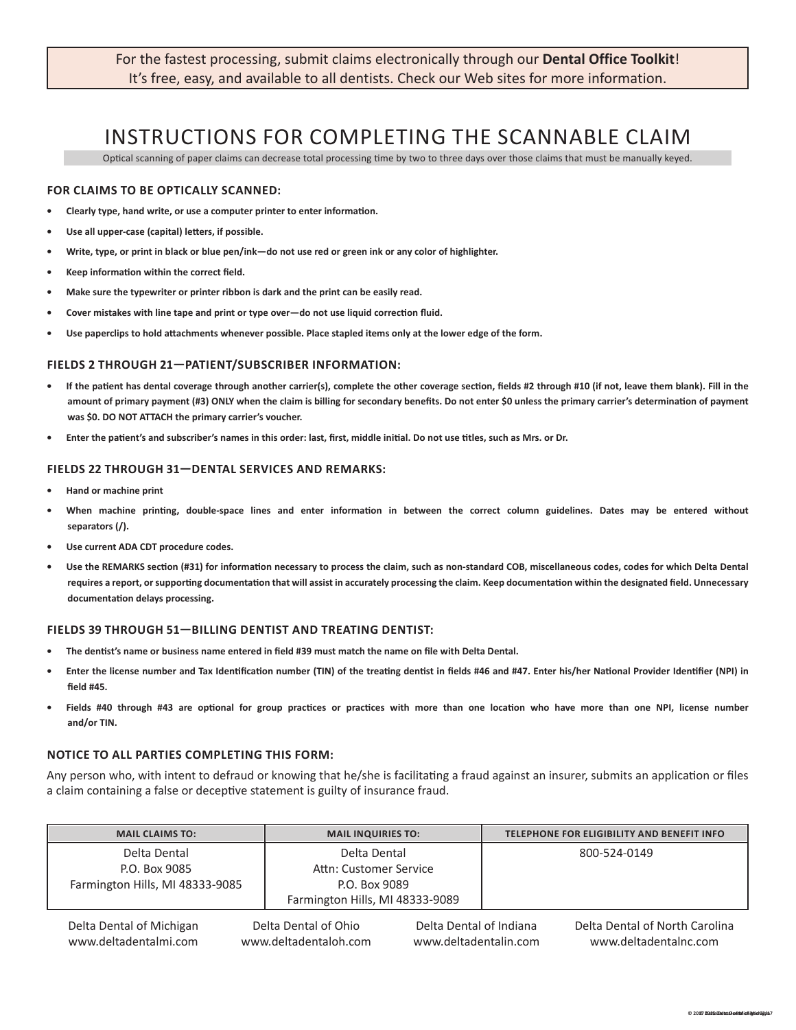For the fastest processing, submit claims electronically through our **Dental Office Toolkit**! It's free, easy, and available to all dentists. Check our Web sites for more information.

## INSTRUCTIONS FOR COMPLETING THE SCANNABLE CLAIM

Optical scanning of paper claims can decrease total processing time by two to three days over those claims that must be manually keyed.

#### **FOR CLAIMS TO BE OPTICALLY SCANNED:**

- **• Clearly type, hand write, or use a computer printer to enter information.**
- **• Use all upper-case (capital) letters, if possible.**
- **• Write, type, or print in black or blue pen/ink—do not use red or green ink or any color of highlighter.**
- **• Keep information within the correct field.**
- **• Make sure the typewriter or printer ribbon is dark and the print can be easily read.**
- **• Cover mistakes with line tape and print or type over—do not use liquid correction fluid.**
- **• Use paperclips to hold attachments whenever possible. Place stapled items only at the lower edge of the form.**

#### **FIELDS 2 THROUGH 21—PATIENT/SUBSCRIBER INFORMATION:**

- **• If the patient has dental coverage through another carrier(s), complete the other coverage section, fields #2 through #10 (if not, leave them blank). Fill in the amount of primary payment (#3) ONLY when the claim is billing for secondary benefits. Do not enter \$0 unless the primary carrier's determination of payment was \$0. DO NOT ATTACH the primary carrier's voucher.**
- **• Enter the patient's and subscriber's names in this order: last, first, middle initial. Do not use titles, such as Mrs. or Dr.**

#### **FIELDS 22 THROUGH 31—DENTAL SERVICES AND REMARKS:**

- **• Hand or machine print**
- **• When machine printing, double-space lines and enter information in between the correct column guidelines. Dates may be entered without separators (/).**
- **• Use current ADA CDT procedure codes.**
- **• Use the REMARKS section (#31) for information necessary to process the claim, such as non-standard COB, miscellaneous codes, codes for which Delta Dental requires a report, or supporting documentation that will assist in accurately processing the claim. Keep documentation within the designated field. Unnecessary documentation delays processing.**

#### **FIELDS 39 THROUGH 51—BILLING DENTIST AND TREATING DENTIST:**

- **• The dentist's name or business name entered in field #39 must match the name on file with Delta Dental.**
- **• Enter the license number and Tax Identification number (TIN) of the treating dentist in fields #46 and #47. Enter his/her National Provider Identifier (NPI) in field #45.**
- **• Fields #40 through #43 are optional for group practices or practices with more than one location who have more than one NPI, license number and/or TIN.**

#### **NOTICE TO ALL PARTIES COMPLETING THIS FORM:**

Any person who, with intent to defraud or knowing that he/she is facilitating a fraud against an insurer, submits an application or files a claim containing a false or deceptive statement is guilty of insurance fraud.

| <b>MAIL CLAIMS TO:</b>          | <b>MAIL INQUIRIES TO:</b>       | TELEPHONE FOR ELIGIBILITY AND BENEFIT INFO |  |  |  |  |  |  |
|---------------------------------|---------------------------------|--------------------------------------------|--|--|--|--|--|--|
| Delta Dental                    | Delta Dental                    | 800-524-0149                               |  |  |  |  |  |  |
| P.O. Box 9085                   | Attn: Customer Service          |                                            |  |  |  |  |  |  |
| Farmington Hills, MI 48333-9085 | P.O. Box 9089                   |                                            |  |  |  |  |  |  |
|                                 | Farmington Hills, MI 48333-9089 |                                            |  |  |  |  |  |  |

Delta Dental of Michigan www.deltadentalmi.com

Delta Dental of Ohio www.deltadentaloh.com

Delta Dental of Indiana www.deltadentalin.com Delta Dental of North Carolina www.deltadentalnc.com